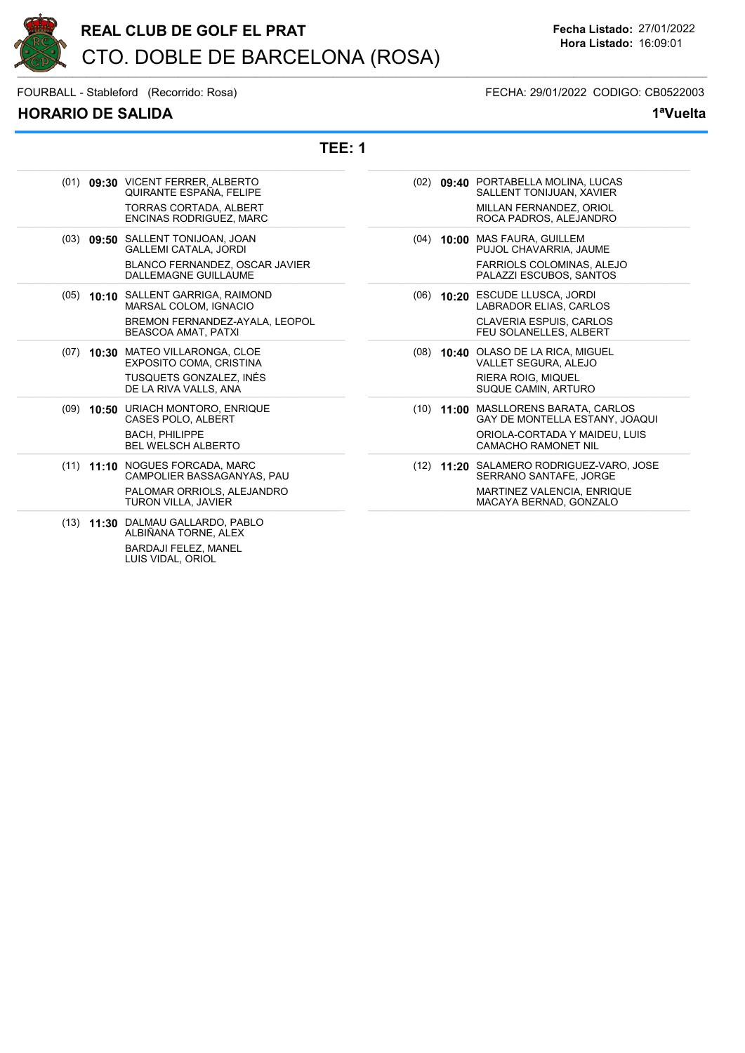

## HORARIO DE SALIDA 1ªVuelta

FOURBALL - Stableford (Recorrido: Rosa) FECHA: 29/01/2022 CODIGO: CB0522003

TEE: 1

| (01) 09:30 VICENT FERRER, ALBERTO                         | (02) 09:40 PORTABELLA MOLINA, LUCAS      |
|-----------------------------------------------------------|------------------------------------------|
| QUIRANTE ESPAÑA. FELIPE                                   | SALLENT TONIJUAN, XAVIER                 |
| <b>TORRAS CORTADA, ALBERT</b>                             | MILLAN FERNANDEZ, ORIOL                  |
| ENCINAS RODRIGUEZ, MARC                                   | ROCA PADROS, ALEJANDRO                   |
| (03) 09:50 SALLENT TONIJOAN, JOAN                         | (04) 10:00 MAS FAURA, GUILLEM            |
| <b>GALLEMI CATALA, JORDI</b>                              | PUJOL CHAVARRIA, JAUME                   |
| BLANCO FERNANDEZ, OSCAR JAVIER                            | FARRIOLS COLOMINAS, ALEJO                |
| DALLEMAGNE GUILLAUME                                      | PALAZZI ESCUBOS, SANTOS                  |
| (05) 10:10 SALLENT GARRIGA, RAIMOND                       | (06) 10:20 ESCUDE LLUSCA, JORDI          |
| MARSAL COLOM, IGNACIO                                     | LABRADOR ELIAS, CARLOS                   |
| BREMON FERNANDEZ-AYALA, LEOPOL                            | <b>CLAVERIA ESPUIS, CARLOS</b>           |
| <b>BEASCOA AMAT, PATXI</b>                                | FEU SOLANELLES, ALBERT                   |
| (07) 10:30 MATEO VILLARONGA, CLOE                         | (08) 10:40 OLASO DE LA RICA, MIGUEL      |
| <b>EXPOSITO COMA, CRISTINA</b>                            | VALLET SEGURA, ALEJO                     |
| TUSQUETS GONZALEZ, INÉS                                   | <b>RIERA ROIG, MIQUEL</b>                |
| DE LA RIVA VALLS, ANA                                     | SUQUE CAMIN, ARTURO                      |
| (09) 10:50 URIACH MONTORO, ENRIQUE                        | (10) 11:00 MASLLORENS BARATA, CARLOS     |
| CASES POLO, ALBERT                                        | GAY DE MONTELLA ESTANY, JOAQUI           |
| <b>BACH. PHILIPPE</b>                                     | ORIOLA-CORTADA Y MAIDEU. LUIS            |
| <b>BEL WELSCH ALBERTO</b>                                 | <b>CAMACHO RAMONET NIL</b>               |
| (11) 11:10 NOGUES FORCADA, MARC                           | (12) 11:20 SALAMERO RODRIGUEZ-VARO, JOSE |
| CAMPOLIER BASSAGANYAS, PAU                                | SERRANO SANTAFE, JORGE                   |
| PALOMAR ORRIOLS, ALEJANDRO                                | MARTINEZ VALENCIA, ENRIQUE               |
| TURON VILLA, JAVIER                                       | MACAYA BERNAD, GONZALO                   |
| (13) 11:30 DALMAU GALLARDO, PABLO<br>ALBIÑANA TORNE, ALEX |                                          |
| RARDA II FELEZ MANEL                                      |                                          |

BARDAJI FELEZ, MANEL LUIS VIDAL, ORIOL